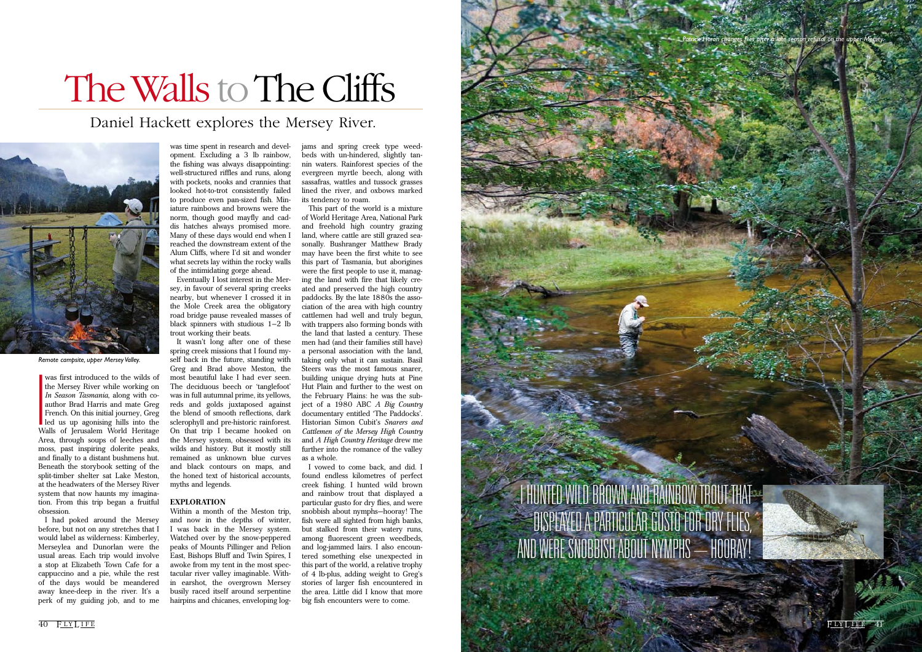I<br>I<br>I<br>Wi<br>Wi was first introduced to the wilds of the Mersey River while working on *In Season Tasmania*, along with coauthor Brad Harris and mate Greg French. On this initial journey, Greg led us up agonising hills into the Walls of Jerusalem World Heritage Area, through soups of leeches and moss, past inspiring dolerite peaks, and finally to a distant bushmens hut. Beneath the storybook setting of the split-timber shelter sat Lake Meston, at the headwaters of the Mersey River system that now haunts my imagination. From this trip began a fruitful obsession.

I had poked around the Mersey before, but not on any stretches that I would label as wilderness: Kimberley, Merseylea and Dunorlan were the usual areas. Each trip would involve a stop at Elizabeth Town Cafe for a cappuccino and a pie, while the rest of the days would be meandered away knee-deep in the river. It's a perk of my guiding job, and to me

was time spent in research and development. Excluding a 3 lb rainbow, the fishing was always disappointing: well-structured riffles and runs, along with pockets, nooks and crannies that looked hot-to-trot consistently failed to produce even pan-sized fish. Miniature rainbows and browns were the norm, though good mayfly and caddis hatches always promised more. Many of these days would end when I reached the downstream extent of the Alum Cliffs, where I'd sit and wonder what secrets lay within the rocky walls of the intimidating gorge ahead.

Eventually I lost interest in the Mersey, in favour of several spring creeks nearby, but whenever I crossed it in the Mole Creek area the obligatory road bridge pause revealed masses of black spinners with studious 1–2 lb trout working their beats.

It wasn't long after one of these spring creek missions that I found myself back in the future, standing with Greg and Brad above Meston, the most beautiful lake I had ever seen. The deciduous beech or 'tanglefoot' was in full autumnal prime, its yellows, reds and golds juxtaposed against the blend of smooth reflections, dark sclerophyll and pre-historic rainforest. On that trip I became hooked on the Mersey system, obsessed with its wilds and history. But it mostly still remained as unknown blue curves and black contours on maps, and the honed text of historical accounts, myths and legends.

#### **EXPLORATION**

Within a month of the Meston trip, and now in the depths of winter, I was back in the Mersey system. Watched over by the snow-peppered peaks of Mounts Pillinger and Pelion East, Bishops Bluff and Twin Spires, I awoke from my tent in the most spectacular river valley imaginable. Within earshot, the overgrown Mersey busily raced itself around serpentine hairpins and chicanes, enveloping logjams and spring creek type weedbeds with un-hindered, slightly tannin waters. Rainforest species of the evergreen myrtle beech, along with sassafras, wattles and tussock grasses lined the river, and oxbows marked its tendency to roam.

This part of the world is a mixture of World Heritage Area, National Park and freehold high country grazing land, where cattle are still grazed seasonally. Bushranger Matthew Brady may have been the first white to see this part of Tasmania, but aborigines were the first people to use it, managing the land with fire that likely created and preserved the high country paddocks. By the late 1880s the association of the area with high country cattlemen had well and truly begun, with trappers also forming bonds with the land that lasted a century. These men had (and their families still have) a personal association with the land, taking only what it can sustain. Basil Steers was the most famous snarer, building unique drying huts at Pine Hut Plain and further to the west on the February Plains: he was the subject of a 1980 ABC *A Big Country*  documentary entitled 'The Paddocks'. Historian Simon Cubit's *Snarers and Cattlemen of the Mersey High Country* and *A High Country Heritage* drew me further into the romance of the valley as a whole.

I vowed to come back, and did. I found endless kilometres of perfect creek fishing. I hunted wild brown and rainbow trout that displayed a particular gusto for dry flies, and were snobbish about nymphs—hooray! The fish were all sighted from high banks, but stalked from their watery runs, among fluorescent green weedbeds, and log-jammed lairs. I also encountered something else unexpected in this part of the world, a relative trophy of 4 lb-plus, adding weight to Greg's stories of larger fish encountered in the area. Little did I know that more big fish encounters were to come.

### Daniel Hackett explores the Mersey River.



# The Walls to The Cliffs

*Remote campsite, upper Mersey Valley.*

 $40$  PLYLIFE FLYLIFE 41

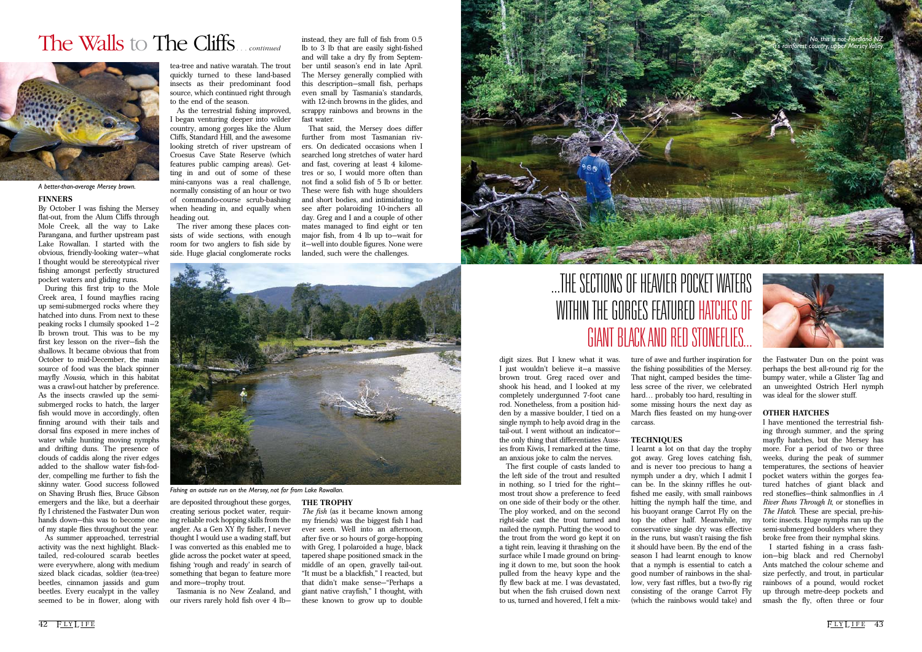digit sizes. But I knew what it was. I just wouldn't believe it—a massive brown trout. Greg raced over and shook his head, and I looked at my completely undergunned 7-foot cane rod. Nonetheless, from a position hidden by a massive boulder, I tied on a single nymph to help avoid drag in the tail-out. I went without an indicator the only thing that differentiates Aussies from Kiwis, I remarked at the time, I learnt a lot on that day the trophy

an anxious joke to calm the nerves. The first couple of casts landed to the left side of the trout and resulted in nothing, so I tried for the right most trout show a preference to feed on one side of their body or the other. The ploy worked, and on the second right-side cast the trout turned and nailed the nymph. Putting the wood to the trout from the word go kept it on a tight rein, leaving it thrashing on the surface while I made ground on bringing it down to me, but soon the hook pulled from the heavy kype and the fly flew back at me. I was devastated, but when the fish cruised down next to us, turned and hovered, I felt a mixture of awe and further inspiration for the fishing possibilities of the Mersey. That night, camped besides the timeless scree of the river, we celebrated hard... probably too hard, resulting in some missing hours the next day as March flies feasted on my hung-over carcass.

#### **TECHNIQUES**

got away. Greg loves catching fish, and is never too precious to hang a nymph under a dry, which I admit I can be. In the skinny riffles he outfished me easily, with small rainbows hitting the nymph half the time, and his buoyant orange Carrot Fly on the top the other half. Meanwhile, my conservative single dry was effective in the runs, but wasn't raising the fish it should have been. By the end of the season I had learnt enough to know that a nymph is essential to catch a good number of rainbows in the shallow, very fast riffles, but a two-fly rig consisting of the orange Carrot Fly (which the rainbows would take) and



the Fastwater Dun on the point was perhaps the best all-round rig for the bumpy water, while a Glister Tag and an unweighted Ostrich Herl nymph was ideal for the slower stuff.

#### **OTHER HATCHES**

I have mentioned the terrestrial fishing through summer, and the spring mayfly hatches, but the Mersey has more. For a period of two or three weeks, during the peak of summer temperatures, the sections of heavier pocket waters within the gorges featured hatches of giant black and red stoneflies—think salmonflies in *A River Runs Through It*, or stoneflies in *The Hatch*. These are special, pre-historic insects. Huge nymphs ran up the semi-submerged boulders where they broke free from their nymphal skins.

I started fishing in a crass fashion—big black and red Chernobyl Ants matched the colour scheme and size perfectly, and trout, in particular rainbows of a pound, would rocket up through metre-deep pockets and smash the fly, often three or four

#### **FINNERS**

#### By October I was fishing the Mersey

flat-out, from the Alum Cliffs through Mole Creek, all the way to Lake Parangana, and further upstream past Lake Rowallan. I started with the obvious, friendly-looking water—what I thought would be stereotypical river fishing amongst perfectly structured pocket waters and gliding runs.

During this first trip to the Mole Creek area, I found mayflies racing up semi-submerged rocks where they hatched into duns. From next to these peaking rocks I clumsily spooked 1–2 lb brown trout. This was to be my first key lesson on the river—fish the shallows. It became obvious that from October to mid-December, the main source of food was the black spinner mayfly *Nousia*, which in this habitat was a crawl-out hatcher by preference. As the insects crawled up the semisubmerged rocks to hatch, the larger fish would move in accordingly, often finning around with their tails and dorsal fins exposed in mere inches of water while hunting moving nymphs and drifting duns. The presence of clouds of caddis along the river edges added to the shallow water fish-fodder, compelling me further to fish the skinny water. Good success followed on Shaving Brush flies, Bruce Gibson emergers and the like, but a deerhair fly I christened the Fastwater Dun won hands down—this was to become one of my staple flies throughout the year.

As summer approached, terrestrial activity was the next highlight. Blacktailed, red-coloured scarab beetles were everywhere, along with medium sized black cicadas, soldier (tea-tree) beetles, cinnamon jassids and gum beetles. Every eucalypt in the valley seemed to be in flower, along with

tea-tree and native waratah. The trout quickly turned to these land-based insects as their predominant food source, which continued right through to the end of the season.

As the terrestrial fishing improved, I began venturing deeper into wilder country, among gorges like the Alum Cliffs, Standard Hill, and the awesome looking stretch of river upstream of Croesus Cave State Reserve (which features public camping areas). Getting in and out of some of these mini-canyons was a real challenge, normally consisting of an hour or two of commando-course scrub-bashing when heading in, and equally when heading out.

The river among these places consists of wide sections, with enough room for two anglers to fish side by side. Huge glacial conglomerate rocks

are deposited throughout these gorges, creating serious pocket water, requiring reliable rock hopping skills from the angler. As a Gen XY fly fisher, I never thought I would use a wading staff, but I was converted as this enabled me to glide across the pocket water at speed, fishing 'rough and ready' in search of something that began to feature more and more—trophy trout.

Tasmania is no New Zealand, and our rivers rarely hold fish over 4 lb—

instead, they are full of fish from 0.5 lb to 3 lb that are easily sight-fished and will take a dry fly from September until season's end in late April. The Mersey generally complied with this description—small fish, perhaps even small by Tasmania's standards, with 12-inch browns in the glides, and scrappy rainbows and browns in the fast water.

That said, the Mersey does differ further from most Tasmanian rivers. On dedicated occasions when I searched long stretches of water hard and fast, covering at least 4 kilometres or so, I would more often than not find a solid fish of 5 lb or better. These were fish with huge shoulders and short bodies, and intimidating to see after polaroiding 10-inchers all day. Greg and I and a couple of other mates managed to find eight or ten major fish, from 4 lb up to—wait for it—well into double figures. None were landed, such were the challenges.



#### **THE TROPHY**

*The fish* (as it became known among my friends) was the biggest fish I had ever seen. Well into an afternoon, after five or so hours of gorge-hopping with Greg, I polaroided a huge, black tapered shape positioned smack in the middle of an open, gravelly tail-out. "It must be a blackfish," I reacted, but that didn't make sense—"Perhaps a giant native crayfish," I thought, with these known to grow up to double

### The Walls to The Cliffs*. . . continued*

## ...the sections of heavier pocket waters WITHIN THE GORGES FEATURED HATCHES OF giant black and red stoneflies...



*A better-than-average Mersey brown.*

*Fishing an outside run on the Mersey, not far from Lake Rowallan.*